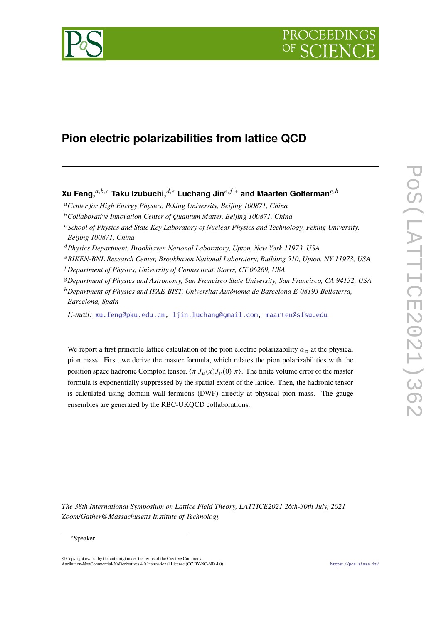

# **Pion electric polarizabilities from lattice QCD**

## **Xu Feng,** $a,b,c$  Taku Izubuchi, $d,e$  Luchang Jin $e,f,*$  and Maarten Golterman<sup>g,h</sup>

- *Center for High Energy Physics, Peking University, Beijing 100871, China*
- *Collaborative Innovation Center of Quantum Matter, Beijing 100871, China*
- *School of Physics and State Key Laboratory of Nuclear Physics and Technology, Peking University, Beijing 100871, China*
- *Physics Department, Brookhaven National Laboratory, Upton, New York 11973, USA*
- *RIKEN-BNL Research Center, Brookhaven National Laboratory, Building 510, Upton, NY 11973, USA*
- *Department of Physics, University of Connecticut, Storrs, CT 06269, USA*
- *Department of Physics and Astronomy, San Francisco State University, San Francisco, CA 94132, USA*

<sup>ℎ</sup>*Department of Physics and IFAE-BIST, Universitat Autònoma de Barcelona E-08193 Bellaterra, Barcelona, Spain*

*E-mail:* [xu.feng@pku.edu.cn,](mailto:xu.feng@pku.edu.cn) [ljin.luchang@gmail.com,](mailto:ljin.luchang@gmail.com) [maarten@sfsu.edu](mailto:maarten@sfsu.edu)

We report a first principle lattice calculation of the pion electric polarizability  $\alpha_{\pi}$  at the physical pion mass. First, we derive the master formula, which relates the pion polarizabilities with the position space hadronic Compton tensor,  $\langle \pi | J_u(x) J_v(0) | \pi \rangle$ . The finite volume error of the master formula is exponentially suppressed by the spatial extent of the lattice. Then, the hadronic tensor is calculated using domain wall fermions (DWF) directly at physical pion mass. The gauge ensembles are generated by the RBC-UKQCD collaborations.

*The 38th International Symposium on Lattice Field Theory, LATTICE2021 26th-30th July, 2021 Zoom/Gather@Massachusetts Institute of Technology*

#### <sup>∗</sup>Speaker

© Copyright owned by the author(s) under the terms of the Creative Commons Attribution-NonCommercial-NoDerivatives 4.0 International License (CC BY-NC-ND 4.0). <https://pos.sissa.it/>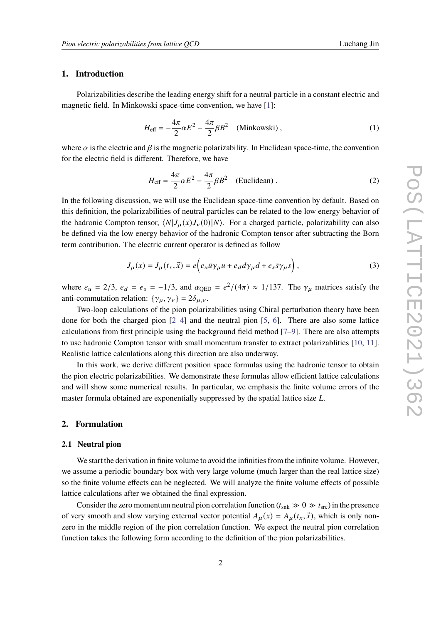#### **1. Introduction**

Polarizabilities describe the leading energy shift for a neutral particle in a constant electric and magnetic field. In Minkowski space-time convention, we have [\[1\]](#page-7-0):

$$
H_{\text{eff}} = -\frac{4\pi}{2}\alpha E^2 - \frac{4\pi}{2}\beta B^2 \quad \text{(Minkowski)}\,,\tag{1}
$$

where  $\alpha$  is the electric and  $\beta$  is the magnetic polarizability. In Euclidean space-time, the convention for the electric field is different. Therefore, we have

$$
H_{\text{eff}} = \frac{4\pi}{2}\alpha E^2 - \frac{4\pi}{2}\beta B^2 \quad \text{(Euclidean)}\,. \tag{2}
$$

In the following discussion, we will use the Euclidean space-time convention by default. Based on this definition, the polarizabilities of neutral particles can be related to the low energy behavior of the hadronic Compton tensor,  $\langle N|J_u(x)J_v(0)|N\rangle$ . For a charged particle, polarizability can also be defined via the low energy behavior of the hadronic Compton tensor after subtracting the Born term contribution. The electric current operator is defined as follow

$$
J_{\mu}(x) = J_{\mu}(t_x, \vec{x}) = e \Big( e_{\mu} \bar{u} \gamma_{\mu} u + e_{d} \bar{d} \gamma_{\mu} d + e_s \bar{s} \gamma_{\mu} s \Big) , \qquad (3)
$$

where  $e_u = 2/3$ ,  $e_d = e_s = -1/3$ , and  $\alpha_{\text{QED}} = e^2/(4\pi) \approx 1/137$ . The  $\gamma_\mu$  matrices satisfy the anti-commutation relation:  $\{\gamma_{\mu}, \gamma_{\nu}\} = 2\delta_{\mu, \nu}$ .

Two-loop calculations of the pion polarizabilities using Chiral perturbation theory have been done for both the charged pion  $[2-4]$  $[2-4]$  and the neutral pion  $[5, 6]$  $[5, 6]$  $[5, 6]$ . There are also some lattice calculations from first principle using the background field method [\[7–](#page-8-0)[9\]](#page-8-1). There are also attempts to use hadronic Compton tensor with small momentum transfer to extract polarizablities [\[10,](#page-8-2) [11\]](#page-8-3). Realistic lattice calculations along this direction are also underway.

In this work, we derive different position space formulas using the hadronic tensor to obtain the pion electric polarizabilities. We demonstrate these formulas allow efficient lattice calculations and will show some numerical results. In particular, we emphasis the finite volume errors of the master formula obtained are exponentially suppressed by the spatial lattice size  $L$ .

#### **2. Formulation**

#### **2.1 Neutral pion**

We start the derivation in finite volume to avoid the infinities from the infinite volume. However, we assume a periodic boundary box with very large volume (much larger than the real lattice size) so the finite volume effects can be neglected. We will analyze the finite volume effects of possible lattice calculations after we obtained the final expression.

Consider the zero momentum neutral pion correlation function ( $t_{snk} \gg 0 \gg t_{src}$ ) in the presence of very smooth and slow varying external vector potential  $A_u(x) = A_u(t_x, \vec{x})$ , which is only nonzero in the middle region of the pion correlation function. We expect the neutral pion correlation function takes the following form according to the definition of the pion polarizabilities.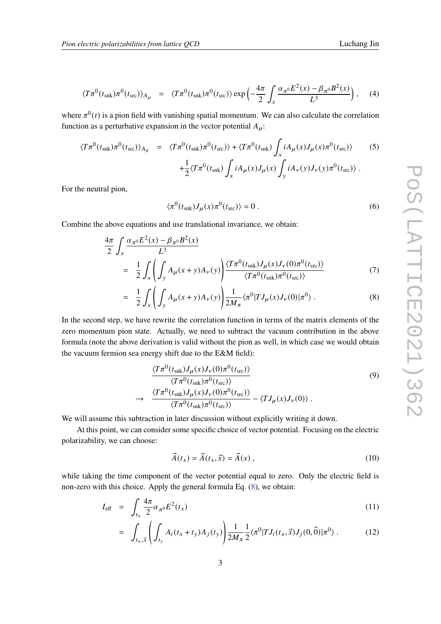where  $\pi^{0}(t)$  is a pion field with vanishing spatial momentum. We can also calculate the correlation function as a perturbative expansion in the vector potential  $A_{\mu}$ :

$$
\langle T\pi^0(t_{\rm snk})\pi^0(t_{\rm src})\rangle_{A_\mu} = \langle T\pi^0(t_{\rm snk})\pi^0(t_{\rm src})\rangle + \langle T\pi^0(t_{\rm snk})\int_x iA_\mu(x)J_\mu(x)\pi^0(t_{\rm src})\rangle \qquad (5)
$$

$$
+ \frac{1}{2}\langle T\pi^0(t_{\rm snk})\int_x iA_\mu(x)J_\mu(x)\int_y iA_\nu(y)J_\nu(y)\pi^0(t_{\rm src})\rangle.
$$

For the neutral pion,

$$
\langle \pi^0(t_{\rm snk}) J_\mu(x) \pi^0(t_{\rm src}) \rangle = 0 \tag{6}
$$

Combine the above equations and use translational invariance, we obtain:

<span id="page-2-0"></span>
$$
\frac{4\pi}{2} \int_{x} \frac{\alpha_{\pi^{0}} E^{2}(x) - \beta_{\pi^{0}} B^{2}(x)}{L^{3}}
$$
\n
$$
= \frac{1}{2} \int_{x} \left( \int_{y} A_{\mu}(x+y) A_{\nu}(y) \right) \frac{\langle T\pi^{0}(t_{\rm snk}) J_{\mu}(x) J_{\nu}(0)\pi^{0}(t_{\rm src}) \rangle}{\langle T\pi^{0}(t_{\rm snk})\pi^{0}(t_{\rm src}) \rangle} \tag{7}
$$

$$
= \frac{1}{2} \int_{x} \left( \int_{y} A_{\mu}(x+y) A_{\nu}(y) \right) \frac{1}{2M_{\pi}} \langle \pi^{0} | T J_{\mu}(x) J_{\nu}(0) | \pi^{0} \rangle . \tag{8}
$$

In the second step, we have rewrite the correlation function in terms of the matrix elements of the zero momentum pion state. Actually, we need to subtract the vacuum contribution in the above formula (note the above derivation is valid without the pion as well, in which case we would obtain the vacuum fermion sea energy shift due to the E&M field):

<span id="page-2-2"></span>
$$
\frac{\langle T\pi^0(t_{\rm shk})J_{\mu}(x)J_{\nu}(0)\pi^0(t_{\rm src})\rangle}{\langle T\pi^0(t_{\rm shk})\pi^0(t_{\rm src})\rangle} \rightarrow \frac{\langle T\pi^0(t_{\rm shk})J_{\mu}(x)J_{\nu}(0)\pi^0(t_{\rm src})\rangle}{\langle T\pi^0(t_{\rm shk})\pi^0(t_{\rm src})\rangle} - \langle TJ_{\mu}(x)J_{\nu}(0)\rangle.
$$
\n(9)

We will assume this subtraction in later discussion without explicitly writing it down.

At this point, we can consider some specific choice of vector potential. Focusing on the electric polarizability, we can choose:

$$
\vec{A}(t_x) = \vec{A}(t_x, \vec{x}) = \vec{A}(x) , \qquad (10)
$$

while taking the time component of the vector potential equal to zero. Only the electric field is non-zero with this choice. Apply the general formula Eq. [\(8\)](#page-2-0), we obtain:

<span id="page-2-1"></span>
$$
I_{\text{eff}} = \int_{t_x} \frac{4\pi}{2} \alpha_{\pi^0} E^2(t_x) \tag{11}
$$

$$
= \int_{t_x, \vec{x}} \left( \int_{t_y} A_i(t_x + t_y) A_j(t_y) \right) \frac{1}{2M_\pi} \frac{1}{2} \langle \pi^0 | T J_i(t_x, \vec{x}) J_j(0, \vec{0}) | \pi^0 \rangle . \tag{12}
$$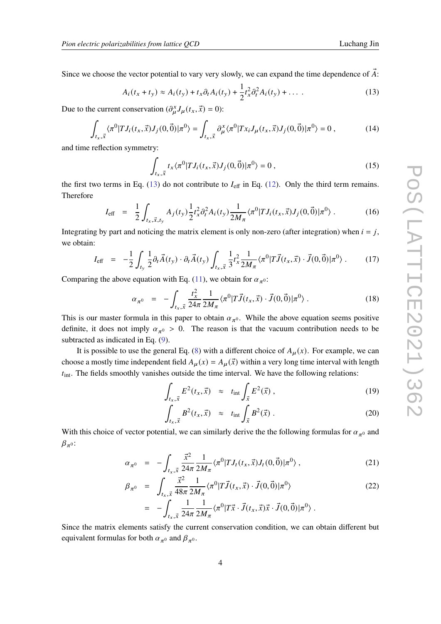Since we choose the vector potential to vary very slowly, we can expand the time dependence of  $\vec{A}$ :

<span id="page-3-0"></span>
$$
A_i(t_x + t_y) \approx A_i(t_y) + t_x \partial_t A_i(t_y) + \frac{1}{2} t_x^2 \partial_t^2 A_i(t_y) + \dots
$$
 (13)

Due to the current conservation  $(\partial_{\mu}^{x}J_{\mu}(t_{x},\vec{x})=0)$ :

$$
\int_{t_x,\vec{x}} \langle \pi^0 | T J_i(t_x,\vec{x}) J_j(0,\vec{0}) | \pi^0 \rangle = \int_{t_x,\vec{x}} \partial_{\mu}^x \langle \pi^0 | T x_i J_{\mu}(t_x,\vec{x}) J_j(0,\vec{0}) | \pi^0 \rangle = 0 , \qquad (14)
$$

and time reflection symmetry:

$$
\int_{t_x,\vec{x}} t_x \langle \pi^0 | T J_i(t_x,\vec{x}) J_j(0,\vec{0}) | \pi^0 \rangle = 0 , \qquad (15)
$$

the first two terms in Eq. [\(13\)](#page-3-0) do not contribute to  $I_{\text{eff}}$  in Eq. [\(12\)](#page-2-1). Only the third term remains. Therefore

$$
I_{\text{eff}} = \frac{1}{2} \int_{t_x, \vec{x}, t_y} A_j(t_y) \frac{1}{2} t_x^2 \partial_t^2 A_i(t_y) \frac{1}{2M_\pi} \langle \pi^0 | T J_i(t_x, \vec{x}) J_j(0, \vec{0}) | \pi^0 \rangle . \tag{16}
$$

Integrating by part and noticing the matrix element is only non-zero (after integration) when  $i = j$ , we obtain:

$$
I_{\text{eff}} = -\frac{1}{2} \int_{t_{y}} \frac{1}{2} \partial_{t} \vec{A}(t_{y}) \cdot \partial_{t} \vec{A}(t_{y}) \int_{t_{x}, \vec{x}} \frac{1}{3} t_{x}^{2} \frac{1}{2M_{\pi}} \langle \pi^{0} | T \vec{J}(t_{x}, \vec{x}) \cdot \vec{J}(0, \vec{0}) | \pi^{0} \rangle . \tag{17}
$$

Comparing the above equation with Eq. [\(11\)](#page-2-1), we obtain for  $\alpha_{\pi^0}$ :

<span id="page-3-1"></span>
$$
\alpha_{\pi^0} = -\int_{t_x, \vec{x}} \frac{t_x^2}{24\pi} \frac{1}{2M_\pi} \langle \pi^0 | T \vec{J}(t_x, \vec{x}) \cdot \vec{J}(0, \vec{0}) | \pi^0 \rangle . \tag{18}
$$

This is our master formula in this paper to obtain  $\alpha_{\pi^0}$ . While the above equation seems positive definite, it does not imply  $\alpha_{\pi^0} > 0$ . The reason is that the vacuum contribution needs to be subtracted as indicated in Eq. [\(9\)](#page-2-2).

It is possible to use the general Eq. [\(8\)](#page-2-0) with a different choice of  $A_\mu(x)$ . For example, we can choose a mostly time independent field  $A_u(x) = A_u(\vec{x})$  within a very long time interval with length  $t_{\text{int}}$ . The fields smoothly vanishes outside the time interval. We have the following relations:

$$
\int_{t_x,\vec{x}} E^2(t_x,\vec{x}) \approx t_{\rm int} \int_{\vec{x}} E^2(\vec{x}) , \qquad (19)
$$

$$
\int_{t_x, \vec{x}} B^2(t_x, \vec{x}) \approx t_{\text{int}} \int_{\vec{x}} B^2(\vec{x}) . \tag{20}
$$

With this choice of vector potential, we can similarly derive the the following formulas for  $\alpha_{\pi^0}$  and  $\beta_{\pi^0}$ :

<span id="page-3-2"></span>
$$
\alpha_{\pi^0} = -\int_{t_x, \vec{x}} \frac{\vec{x}^2}{24\pi} \frac{1}{2M_{\pi}} \langle \pi^0 | T J_t(t_x, \vec{x}) J_t(0, \vec{0}) | \pi^0 \rangle , \qquad (21)
$$

$$
\beta_{\pi^0} = \int_{t_x, \vec{x}} \frac{\vec{x}^2}{48\pi} \frac{1}{2M_{\pi}} \langle \pi^0 | T \vec{J}(t_x, \vec{x}) \cdot \vec{J}(0, \vec{0}) | \pi^0 \rangle
$$
\n
$$
= - \int_{t_x, \vec{x}} \frac{1}{24\pi} \frac{1}{2M_{\pi}} \langle \pi^0 | T \vec{x} \cdot \vec{J}(t_x, \vec{x}) \vec{x} \cdot \vec{J}(0, \vec{0}) | \pi^0 \rangle .
$$
\n(22)

Since the matrix elements satisfy the current conservation condition, we can obtain different but equivalent formulas for both  $\alpha_{\pi^0}$  and  $\beta_{\pi^0}$ .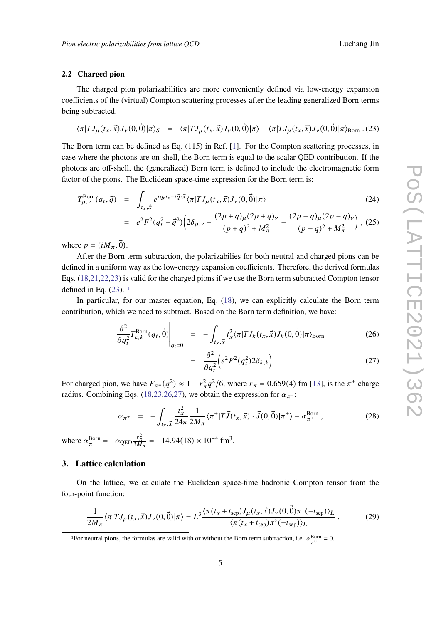#### **2.2 Charged pion**

The charged pion polarizabilities are more conveniently defined via low-energy expansion coefficients of the (virtual) Compton scattering processes after the leading generalized Born terms being subtracted.

<span id="page-4-0"></span>
$$
\langle \pi | T J_{\mu}(t_x, \vec{x}) J_{\nu}(0, \vec{0}) | \pi \rangle_S = \langle \pi | T J_{\mu}(t_x, \vec{x}) J_{\nu}(0, \vec{0}) | \pi \rangle - \langle \pi | T J_{\mu}(t_x, \vec{x}) J_{\nu}(0, \vec{0}) | \pi \rangle_{\text{Born}} . (23)
$$

The Born term can be defined as Eq. (115) in Ref. [\[1\]](#page-7-0). For the Compton scattering processes, in case where the photons are on-shell, the Born term is equal to the scalar QED contribution. If the photons are off-shell, the (generalized) Born term is defined to include the electromagnetic form factor of the pions. The Euclidean space-time expression for the Born term is:

$$
T_{\mu,\nu}^{\text{Born}}(q_t, \vec{q}) = \int_{t_x, \vec{x}} e^{iq_t t_x - i\vec{q} \cdot \vec{x}} \langle \pi | T J_{\mu}(t_x, \vec{x}) J_{\nu}(0, \vec{0}) | \pi \rangle \tag{24}
$$

$$
= e^{2}F^{2}(q_{t}^{2} + \vec{q}^{2})\left(2\delta_{\mu,\nu} - \frac{(2p+q)_{\mu}(2p+q)_{\nu}}{(p+q)^{2} + M_{\pi}^{2}} - \frac{(2p-q)_{\mu}(2p-q)_{\nu}}{(p-q)^{2} + M_{\pi}^{2}}\right), (25)
$$

where  $p = (i M_\pi, \vec{0})$ .

After the Born term subtraction, the polarizabilies for both neutral and charged pions can be defined in a uniform way as the low-energy expansion coefficients. Therefore, the derived formulas Eqs. [\(18](#page-3-1)[,21,22,23\)](#page-3-2) is valid for the charged pions if we use the Born term subtracted Compton tensor defined in Eq.  $(23)$ . <sup>[1](#page-4-1)</sup>

In particular, for our master equation, Eq. [\(18\)](#page-3-1), we can explicitly calculate the Born term contribution, which we need to subtract. Based on the Born term definition, we have:

<span id="page-4-2"></span>
$$
\left. \frac{\partial^2}{\partial q_t^2} T_{k,k}^{\text{Born}}(q_t, \vec{0}) \right|_{q_t=0} = - \int_{t_x, \vec{x}} t_x^2 \langle \pi | T J_k(t_x, \vec{x}) J_k(0, \vec{0}) | \pi \rangle_{\text{Born}} \tag{26}
$$

$$
= \frac{\partial^2}{\partial q_t^2} \left( e^2 F^2(q_t^2) 2 \delta_{k,k} \right). \tag{27}
$$

For charged pion, we have  $F_{\pi^{\pm}}(q^2) \approx 1 - r_{\pi}^2 q^2/6$ , where  $r_{\pi} = 0.659(4)$  fm [\[13\]](#page-8-4), is the  $\pi^{\pm}$  charge radius. Combining Eqs. [\(18,](#page-3-1)[23](#page-4-0)[,26,27\)](#page-4-2), we obtain the expression for  $\alpha_{\pi^{\pm}}$ :

<span id="page-4-3"></span>
$$
\alpha_{\pi^{\pm}} = -\int_{t_x, \vec{x}} \frac{t_x^2}{24\pi} \frac{1}{2M_{\pi}} \langle \pi^{\pm} | T \vec{J}(t_x, \vec{x}) \cdot \vec{J}(0, \vec{0}) | \pi^{\pm} \rangle - \alpha_{\pi^{\pm}}^{\text{Born}}, \tag{28}
$$

where  $\alpha_{\pi^{\pm}}^{\text{Born}} = -\alpha_{\text{QED}} \frac{r_{\pi}^2}{3M_{\pi}} = -14.94(18) \times 10^{-4} \text{ fm}^3$ .

#### **3. Lattice calculation**

On the lattice, we calculate the Euclidean space-time hadronic Compton tensor from the four-point function:

$$
\frac{1}{2M_{\pi}}\langle\pi|T J_{\mu}(t_x,\vec{x})J_{\nu}(0,\vec{0})|\pi\rangle=L^3\frac{\langle\pi(t_x+t_{\text{sep}})J_{\mu}(t_x,\vec{x})J_{\nu}(0,\vec{0})\pi^{\dagger}(-t_{\text{sep}})\rangle_L}{\langle\pi(t_x+t_{\text{sep}})\pi^{\dagger}(-t_{\text{sep}})\rangle_L},\qquad(29)
$$

<span id="page-4-1"></span><sup>1</sup>For neutral pions, the formulas are valid with or without the Born term subtraction, i.e.  $\alpha_{\pi^0}^{\text{Born}} = 0$ .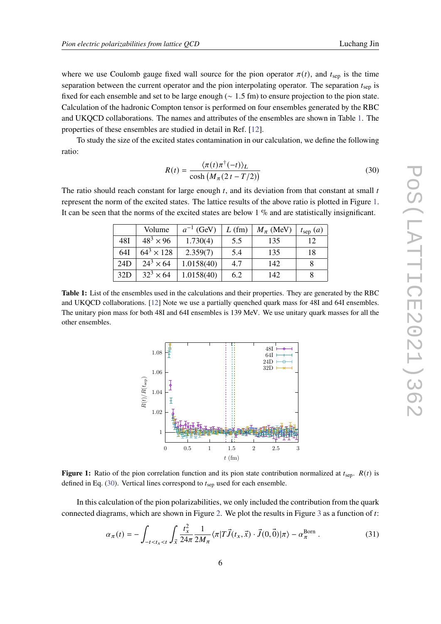where we use Coulomb gauge fixed wall source for the pion operator  $\pi(t)$ , and  $t_{\text{sep}}$  is the time separation between the current operator and the pion interpolating operator. The separation  $t_{\rm sep}$  is fixed for each ensemble and set to be large enough (∼ 1.5 fm) to ensure projection to the pion state. Calculation of the hadronic Compton tensor is performed on four ensembles generated by the RBC and UKQCD collaborations. The names and attributes of the ensembles are shown in Table [1.](#page-5-0) The properties of these ensembles are studied in detail in Ref. [\[12\]](#page-8-5).

To study the size of the excited states contamination in our calculation, we define the following ratio:

<span id="page-5-2"></span>
$$
R(t) = \frac{\langle \pi(t)\pi^{\dagger}(-t) \rangle_L}{\cosh\left(M_\pi(2t - T/2)\right)}
$$
(30)

<span id="page-5-0"></span>The ratio should reach constant for large enough  $t$ , and its deviation from that constant at small  $t$ represent the norm of the excited states. The lattice results of the above ratio is plotted in Figure [1.](#page-5-1) It can be seen that the norms of the excited states are below 1 % and are statistically insignificant.

|     | Volume            | $a^{-1}$ (GeV) | $L$ (fm) | $M_\pi$ (MeV) | $t_{\rm sep}(a)$ |
|-----|-------------------|----------------|----------|---------------|------------------|
| 48I | $48^3 \times 96$  | 1.730(4)       | 5.5      | 135           | 12               |
| 64I | $64^3 \times 128$ | 2.359(7)       | 5.4      | 135           | 18               |
| 24D | $24^3 \times 64$  | 1.0158(40)     | 4.7      | 142           |                  |
| 32D | $32^3 \times 64$  | 1.0158(40)     | 6.2      | 142           |                  |

<span id="page-5-1"></span>**Table 1:** List of the ensembles used in the calculations and their properties. They are generated by the RBC and UKQCD collaborations. [\[12\]](#page-8-5) Note we use a partially quenched quark mass for 48I and 64I ensembles. The unitary pion mass for both 48I and 64I ensembles is 139 MeV. We use unitary quark masses for all the other ensembles.



**Figure 1:** Ratio of the pion correlation function and its pion state contribution normalized at  $t_{\text{sep}}$ .  $R(t)$  is defined in Eq.  $(30)$ . Vertical lines correspond to  $t<sub>sep</sub>$  used for each ensemble.

In this calculation of the pion polarizabilities, we only included the contribution from the quark connected diagrams, which are shown in Figure [2.](#page-6-0) We plot the results in Figure [3](#page-6-1) as a function of  $t$ :

<span id="page-5-3"></span>
$$
\alpha_{\pi}(t) = -\int_{-t < t_x < t} \int_{\vec{x}} \frac{t_x^2}{24\pi} \frac{1}{2M_{\pi}} \langle \pi | T \vec{J}(t_x, \vec{x}) \cdot \vec{J}(0, \vec{0}) | \pi \rangle - \alpha_{\pi}^{\text{Born}} \,. \tag{31}
$$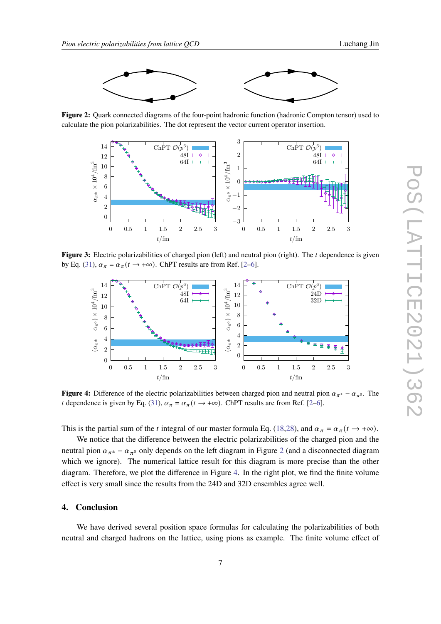<span id="page-6-0"></span>

**Figure 2:** Quark connected diagrams of the four-point hadronic function (hadronic Compton tensor) used to calculate the pion polarizabilities. The dot represent the vector current operator insertion.

<span id="page-6-1"></span>

**Figure 3:** Electric polarizabilities of charged pion (left) and neutral pion (right). The *t* dependence is given by Eq. [\(31\)](#page-5-3),  $\alpha_{\pi} = \alpha_{\pi}(t \rightarrow +\infty)$ . ChPT results are from Ref. [\[2–](#page-7-1)[6\]](#page-7-4).

<span id="page-6-2"></span>

**Figure 4:** Difference of the electric polarizabilities between charged pion and neutral pion  $\alpha_{\pi^{\pm}} - \alpha_{\pi^0}$ . The t dependence is given by Eq. [\(31\)](#page-5-3),  $\alpha_{\pi} = \alpha_{\pi}(t \rightarrow +\infty)$ . ChPT results are from Ref. [\[2–](#page-7-1)[6\]](#page-7-4).

This is the partial sum of the *t* integral of our master formula Eq. [\(18,](#page-3-1)[28\)](#page-4-3), and  $\alpha_{\pi} = \alpha_{\pi} (t \rightarrow +\infty)$ .

We notice that the difference between the electric polarizabilities of the charged pion and the neutral pion  $\alpha_{\pi^{\pm}} - \alpha_{\pi^0}$  only depends on the left diagram in Figure [2](#page-6-0) (and a disconnected diagram which we ignore). The numerical lattice result for this diagram is more precise than the other diagram. Therefore, we plot the difference in Figure [4.](#page-6-2) In the right plot, we find the finite volume effect is very small since the results from the 24D and 32D ensembles agree well.

### **4. Conclusion**

We have derived several position space formulas for calculating the polarizabilities of both neutral and charged hadrons on the lattice, using pions as example. The finite volume effect of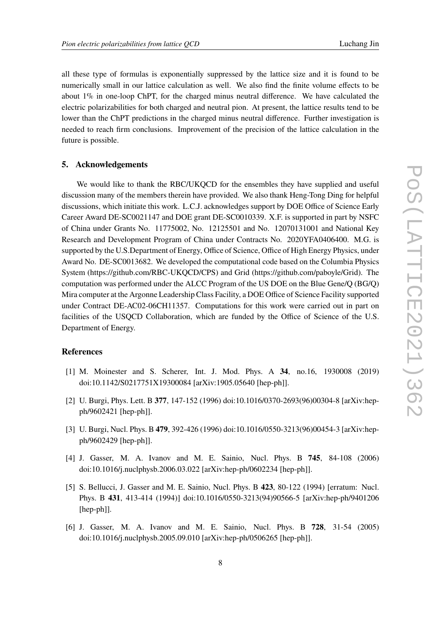all these type of formulas is exponentially suppressed by the lattice size and it is found to be numerically small in our lattice calculation as well. We also find the finite volume effects to be about 1% in one-loop ChPT, for the charged minus neutral difference. We have calculated the electric polarizabilities for both charged and neutral pion. At present, the lattice results tend to be lower than the ChPT predictions in the charged minus neutral difference. Further investigation is needed to reach firm conclusions. Improvement of the precision of the lattice calculation in the future is possible.

#### **5. Acknowledgements**

We would like to thank the RBC/UKOCD for the ensembles they have supplied and useful discussion many of the members therein have provided. We also thank Heng-Tong Ding for helpful discussions, which initiate this work. L.C.J. acknowledges support by DOE Office of Science Early Career Award DE-SC0021147 and DOE grant DE-SC0010339. X.F. is supported in part by NSFC of China under Grants No. 11775002, No. 12125501 and No. 12070131001 and National Key Research and Development Program of China under Contracts No. 2020YFA0406400. M.G. is supported by the U.S.Department of Energy, Office of Science, Office of High Energy Physics, under Award No. DE-SC0013682. We developed the computational code based on the Columbia Physics System (https://github.com/RBC-UKQCD/CPS) and Grid (https://github.com/paboyle/Grid). The computation was performed under the ALCC Program of the US DOE on the Blue Gene/Q (BG/Q) Mira computer at the Argonne Leadership Class Facility, a DOE Office of Science Facility supported under Contract DE-AC02-06CH11357. Computations for this work were carried out in part on facilities of the USQCD Collaboration, which are funded by the Office of Science of the U.S. Department of Energy.

### **References**

- <span id="page-7-0"></span>[1] M. Moinester and S. Scherer, Int. J. Mod. Phys. A **34**, no.16, 1930008 (2019) doi:10.1142/S0217751X19300084 [arXiv:1905.05640 [hep-ph]].
- <span id="page-7-1"></span>[2] U. Burgi, Phys. Lett. B **377**, 147-152 (1996) doi:10.1016/0370-2693(96)00304-8 [arXiv:hepph/9602421 [hep-ph]].
- [3] U. Burgi, Nucl. Phys. B **479**, 392-426 (1996) doi:10.1016/0550-3213(96)00454-3 [arXiv:hepph/9602429 [hep-ph]].
- <span id="page-7-2"></span>[4] J. Gasser, M. A. Ivanov and M. E. Sainio, Nucl. Phys. B **745**, 84-108 (2006) doi:10.1016/j.nuclphysb.2006.03.022 [arXiv:hep-ph/0602234 [hep-ph]].
- <span id="page-7-3"></span>[5] S. Bellucci, J. Gasser and M. E. Sainio, Nucl. Phys. B **423**, 80-122 (1994) [erratum: Nucl. Phys. B **431**, 413-414 (1994)] doi:10.1016/0550-3213(94)90566-5 [arXiv:hep-ph/9401206 [hep-ph]].
- <span id="page-7-4"></span>[6] J. Gasser, M. A. Ivanov and M. E. Sainio, Nucl. Phys. B **728**, 31-54 (2005) doi:10.1016/j.nuclphysb.2005.09.010 [arXiv:hep-ph/0506265 [hep-ph]].